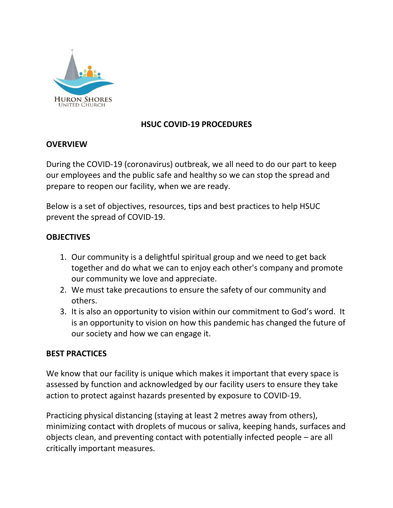

# **HSUC COVID-19 PROCEDURES**

## **OVERVIEW**

During the COVID-19 (coronavirus) outbreak, we all need to do our part to keep our employees and the public safe and healthy so we can stop the spread and prepare to reopen our facility, when we are ready.

Below is a set of objectives, resources, tips and best practices to help HSUC prevent the spread of COVID-19.

## **OBJECTIVES**

- 1. Our community is a delightful spiritual group and we need to get back together and do what we can to enjoy each other's company and promote our community we love and appreciate.
- 2. We must take precautions to ensure the safety of our community and others.
- 3. It is also an opportunity to vision within our commitment to God's word. It is an opportunity to vision on how this pandemic has changed the future of our society and how we can engage it.

### **BEST PRACTICES**

We know that our facility is unique which makes it important that every space is assessed by function and acknowledged by our facility users to ensure they take action to protect against hazards presented by exposure to COVID-19.

Practicing physical distancing (staying at least 2 metres away from others), minimizing contact with droplets of mucous or saliva, keeping hands, surfaces and objects clean, and preventing contact with potentially infected people – are all critically important measures.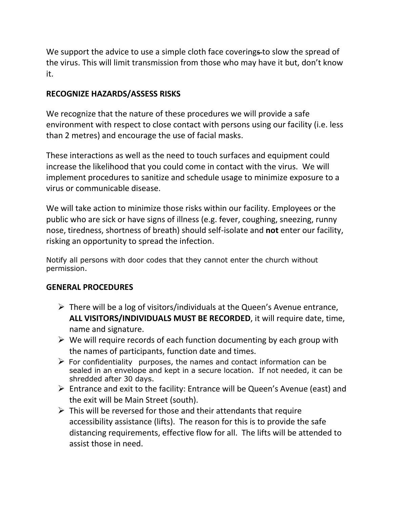We support the advice to use a simple cloth face coverings to slow the spread of the virus. This will limit transmission from those who may have it but, don't know it.

# **RECOGNIZE HAZARDS/ASSESS RISKS**

We recognize that the nature of these procedures we will provide a safe environment with respect to close contact with persons using our facility (i.e. less than 2 metres) and encourage the use of facial masks.

These interactions as well as the need to touch surfaces and equipment could increase the likelihood that you could come in contact with the virus. We will implement procedures to sanitize and schedule usage to minimize exposure to a virus or communicable disease.

We will take action to minimize those risks within our facility. Employees or the public who are sick or have signs of illness (e.g. fever, coughing, sneezing, runny nose, tiredness, shortness of breath) should self-isolate and **not** enter our facility, risking an opportunity to spread the infection.

Notify all persons with door codes that they cannot enter the church without permission.

### **GENERAL PROCEDURES**

- $\triangleright$  There will be a log of visitors/individuals at the Queen's Avenue entrance, **ALL VISITORS/INDIVIDUALS MUST BE RECORDED**, it will require date, time, name and signature.
- $\triangleright$  We will require records of each function documenting by each group with the names of participants, function date and times.
- $\triangleright$  For confidentiality purposes, the names and contact information can be sealed in an envelope and kept in a secure location. If not needed, it can be shredded after 30 days.
- Entrance and exit to the facility: Entrance will be Queen's Avenue (east) and the exit will be Main Street (south).
- $\triangleright$  This will be reversed for those and their attendants that require accessibility assistance (lifts). The reason for this is to provide the safe distancing requirements, effective flow for all. The lifts will be attended to assist those in need.